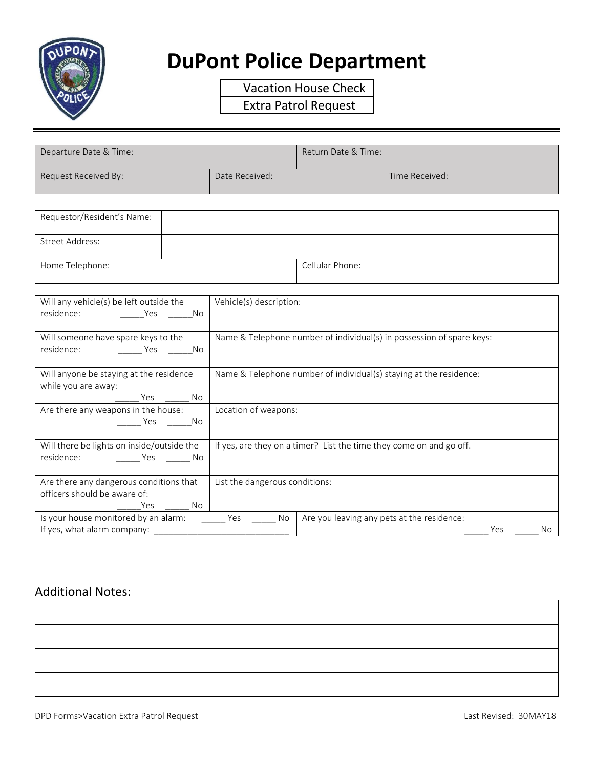

## **DuPont Police Department**

Vacation House Check Extra Patrol Request

| Departure Date & Time: |                | Return Date & Time: |                |
|------------------------|----------------|---------------------|----------------|
| Request Received By:   | Date Received: |                     | Time Received: |

| Requestor/Resident's Name: |                 |
|----------------------------|-----------------|
| Street Address:            |                 |
| Home Telephone:            | Cellular Phone: |

| Will any vehicle(s) be left outside the<br>residence:<br><b>Example 19 Yes</b><br>No. | Vehicle(s) description:        |                                                                       |
|---------------------------------------------------------------------------------------|--------------------------------|-----------------------------------------------------------------------|
|                                                                                       |                                |                                                                       |
| Will someone have spare keys to the<br>residence: Yes No                              |                                | Name & Telephone number of individual(s) in possession of spare keys: |
|                                                                                       |                                |                                                                       |
| Will anyone be staying at the residence                                               |                                | Name & Telephone number of individual(s) staying at the residence:    |
| while you are away:                                                                   |                                |                                                                       |
| Are there any weapons in the house:                                                   | Location of weapons:           |                                                                       |
| a No<br>Yes                                                                           |                                |                                                                       |
| Will there be lights on inside/outside the                                            |                                | If yes, are they on a timer? List the time they come on and go off.   |
| residence: No No No                                                                   |                                |                                                                       |
| Are there any dangerous conditions that                                               | List the dangerous conditions: |                                                                       |
| officers should be aware of:                                                          |                                |                                                                       |
| Yes _________ No                                                                      |                                |                                                                       |
| Is your house monitored by an alarm: Yes                                              | No                             | Are you leaving any pets at the residence:                            |
| If yes, what alarm company:                                                           |                                | Yes<br>No.                                                            |

## Additional Notes: